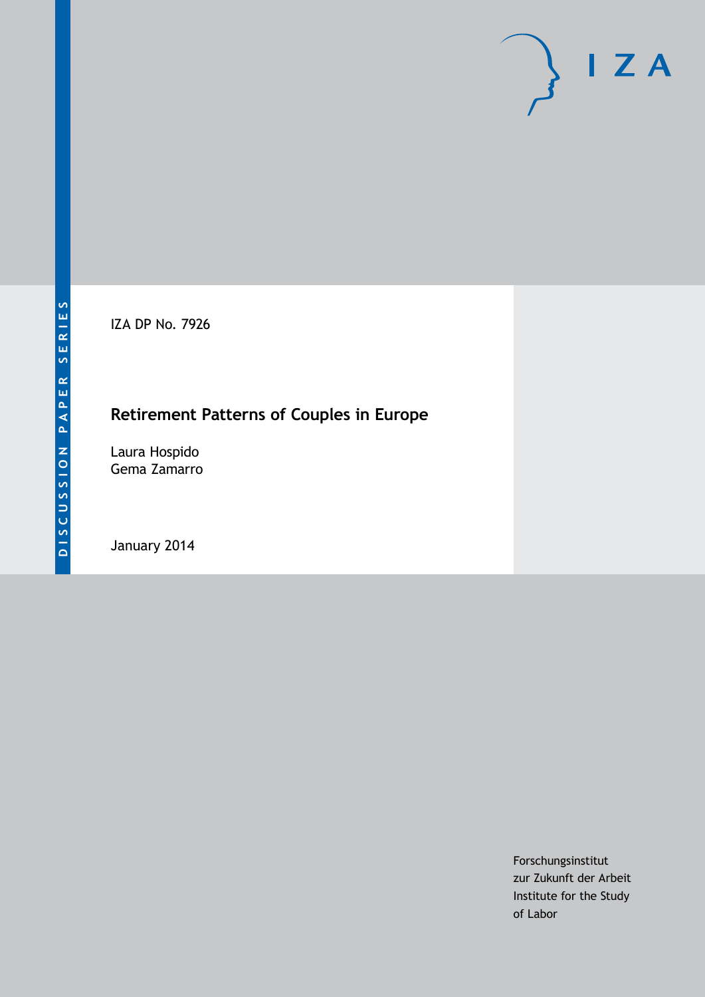IZA DP No. 7926

## **Retirement Patterns of Couples in Europe**

Laura Hospido Gema Zamarro

January 2014

Forschungsinstitut zur Zukunft der Arbeit Institute for the Study of Labor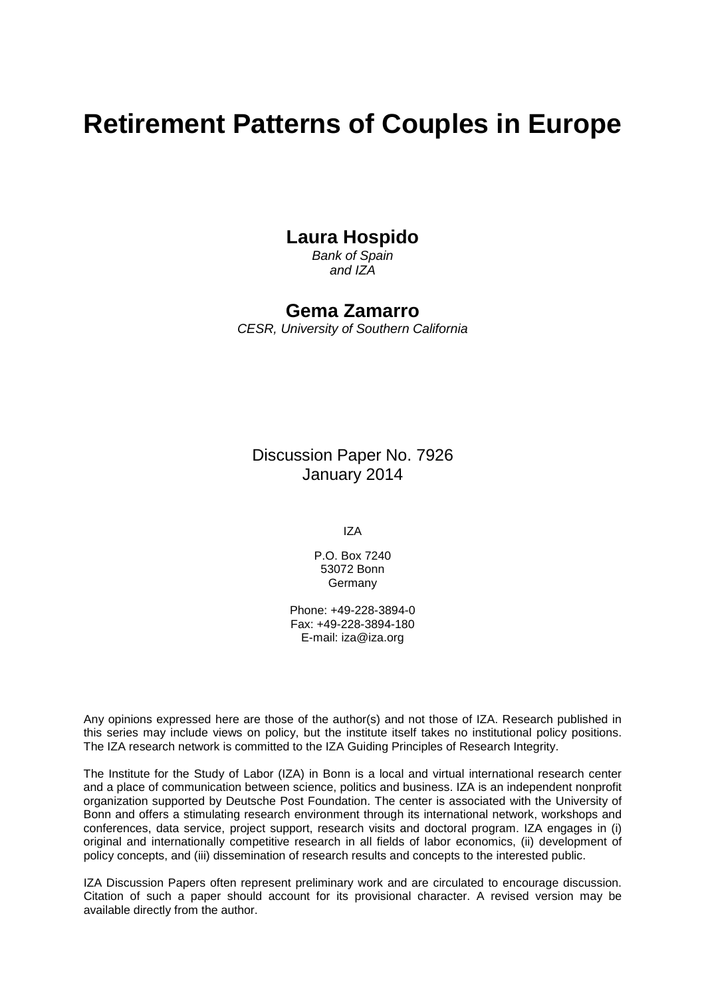# **Retirement Patterns of Couples in Europe**

## **Laura Hospido**

*Bank of Spain and IZA*

### **Gema Zamarro**

*CESR, University of Southern California*

Discussion Paper No. 7926 January 2014

IZA

P.O. Box 7240 53072 Bonn Germany

Phone: +49-228-3894-0 Fax: +49-228-3894-180 E-mail: [iza@iza.org](mailto:iza@iza.org)

<span id="page-1-0"></span>Any opinions expressed here are those of the author(s) and not those of IZA. Research published in this series may include views on policy, but the institute itself takes no institutional policy positions. The IZA research network is committed to the IZA Guiding Principles of Research Integrity.

The Institute for the Study of Labor (IZA) in Bonn is a local and virtual international research center and a place of communication between science, politics and business. IZA is an independent nonprofit organization supported by Deutsche Post Foundation. The center is associated with the University of Bonn and offers a stimulating research environment through its international network, workshops and conferences, data service, project support, research visits and doctoral program. IZA engages in (i) original and internationally competitive research in all fields of labor economics, (ii) development of policy concepts, and (iii) dissemination of research results and concepts to the interested public.

IZA Discussion Papers often represent preliminary work and are circulated to encourage discussion. Citation of such a paper should account for its provisional character. A revised version may be available directly from the author.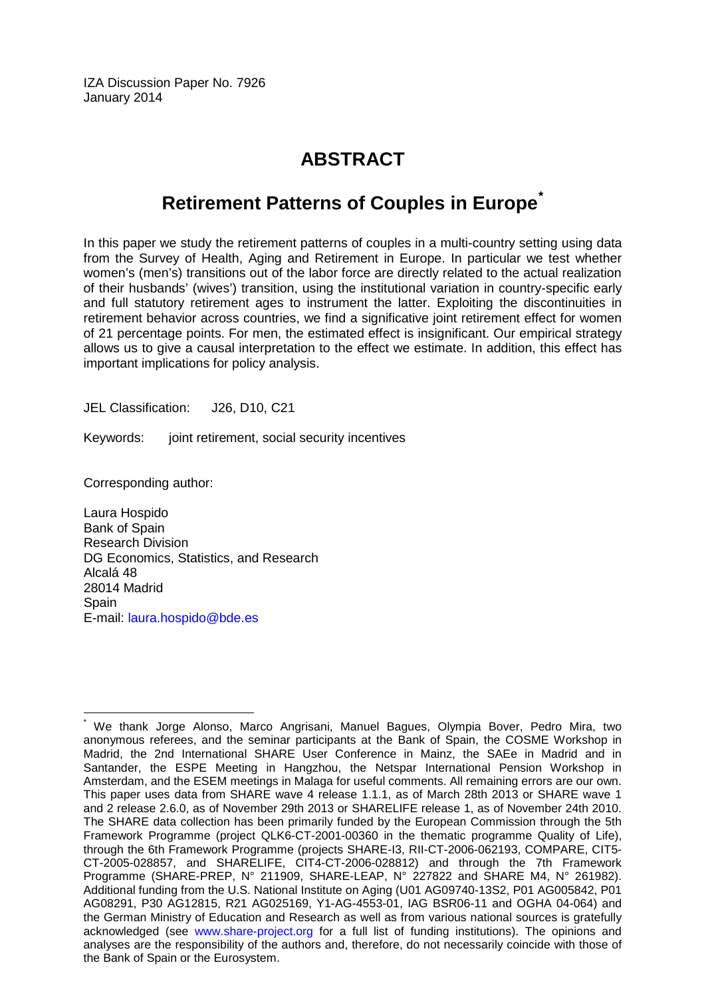IZA Discussion Paper No. 7926 January 2014

## **ABSTRACT**

## **Retirement Patterns of Couples in Europe[\\*](#page-1-0)**

In this paper we study the retirement patterns of couples in a multi-country setting using data from the Survey of Health, Aging and Retirement in Europe. In particular we test whether women's (men's) transitions out of the labor force are directly related to the actual realization of their husbands' (wives') transition, using the institutional variation in country-specific early and full statutory retirement ages to instrument the latter. Exploiting the discontinuities in retirement behavior across countries, we find a significative joint retirement effect for women of 21 percentage points. For men, the estimated effect is insignificant. Our empirical strategy allows us to give a causal interpretation to the effect we estimate. In addition, this effect has important implications for policy analysis.

JEL Classification: J26, D10, C21

Keywords: joint retirement, social security incentives

Corresponding author:

Laura Hospido Bank of Spain Research Division DG Economics, Statistics, and Research Alcalá 48 28014 Madrid **Spain** E-mail: [laura.hospido@bde.es](mailto:laura.hospido@bde.es)

We thank Jorge Alonso, Marco Angrisani, Manuel Bagues, Olympia Bover, Pedro Mira, two anonymous referees, and the seminar participants at the Bank of Spain, the COSME Workshop in Madrid, the 2nd International SHARE User Conference in Mainz, the SAEe in Madrid and in Santander, the ESPE Meeting in Hangzhou, the Netspar International Pension Workshop in Amsterdam, and the ESEM meetings in Malaga for useful comments. All remaining errors are our own. This paper uses data from SHARE wave 4 release 1.1.1, as of March 28th 2013 or SHARE wave 1 and 2 release 2.6.0, as of November 29th 2013 or SHARELIFE release 1, as of November 24th 2010. The SHARE data collection has been primarily funded by the European Commission through the 5th Framework Programme (project QLK6-CT-2001-00360 in the thematic programme Quality of Life), through the 6th Framework Programme (projects SHARE-I3, RII-CT-2006-062193, COMPARE, CIT5- CT-2005-028857, and SHARELIFE, CIT4-CT-2006-028812) and through the 7th Framework Programme (SHARE-PREP, N° 211909, SHARE-LEAP, N° 227822 and SHARE M4, N° 261982). Additional funding from the U.S. National Institute on Aging (U01 AG09740-13S2, P01 AG005842, P01 AG08291, P30 AG12815, R21 AG025169, Y1-AG-4553-01, IAG BSR06-11 and OGHA 04-064) and the German Ministry of Education and Research as well as from various national sources is gratefully acknowledged (see [www.share-project.org](http://www.share-project.org/) for a full list of funding institutions). The opinions and analyses are the responsibility of the authors and, therefore, do not necessarily coincide with those of the Bank of Spain or the Eurosystem.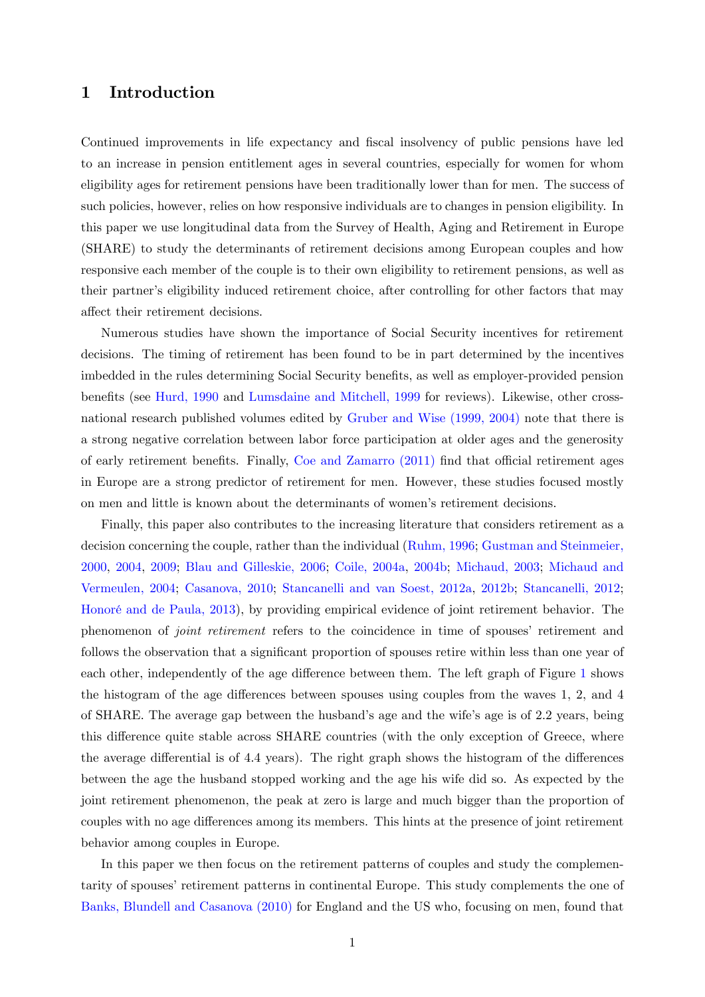### 1 Introduction

Continued improvements in life expectancy and fiscal insolvency of public pensions have led to an increase in pension entitlement ages in several countries, especially for women for whom eligibility ages for retirement pensions have been traditionally lower than for men. The success of such policies, however, relies on how responsive individuals are to changes in pension eligibility. In this paper we use longitudinal data from the Survey of Health, Aging and Retirement in Europe (SHARE) to study the determinants of retirement decisions among European couples and how responsive each member of the couple is to their own eligibility to retirement pensions, as well as their partner's eligibility induced retirement choice, after controlling for other factors that may affect their retirement decisions.

Numerous studies have shown the importance of Social Security incentives for retirement decisions. The timing of retirement has been found to be in part determined by the incentives imbedded in the rules determining Social Security benefits, as well as employer-provided pension benefits (see [Hurd, 1990](#page-15-0) and [Lumsdaine and Mitchell, 1999](#page-16-0) for reviews). Likewise, other crossnational research published volumes edited by [Gruber and Wise \(1999, 2004\)](#page-15-1) note that there is a strong negative correlation between labor force participation at older ages and the generosity of early retirement benefits. Finally, Coe and Zamarro  $(2011)$  find that official retirement ages in Europe are a strong predictor of retirement for men. However, these studies focused mostly on men and little is known about the determinants of womenís retirement decisions.

Finally, this paper also contributes to the increasing literature that considers retirement as a decision concerning the couple, rather than the individual [\(Ruhm, 1996;](#page-16-1) [Gustman and Steinmeier,](#page-15-3) [2000,](#page-15-3) [2004,](#page-15-4) [2009;](#page-15-5) [Blau and Gilleskie, 2006;](#page-15-6) [Coile, 2004a,](#page-15-7) [2004b;](#page-15-8) Michaud, 2003; [Michaud and](#page-16-2) [Vermeulen, 2004;](#page-16-2) [Casanova, 2010;](#page-15-9) [Stancanelli and van Soest, 2012a,](#page-16-3) [2012b;](#page-16-4) Stancanelli, 2012; Honoré and de Paula, 2013), by providing empirical evidence of joint retirement behavior. The phenomenon of *joint retirement* refers to the coincidence in time of spouses' retirement and follows the observation that a significant proportion of spouses retire within less than one year of each other, independently of the age difference between them. The left graph of Figure [1](#page-4-0) shows the histogram of the age differences between spouses using couples from the waves  $1, 2$ , and  $4$ of SHARE. The average gap between the husband's age and the wife's age is of 2.2 years, being this difference quite stable across SHARE countries (with the only exception of Greece, where the average differential is of  $4.4$  years). The right graph shows the histogram of the differences between the age the husband stopped working and the age his wife did so. As expected by the joint retirement phenomenon, the peak at zero is large and much bigger than the proportion of couples with no age differences among its members. This hints at the presence of joint retirement behavior among couples in Europe.

In this paper we then focus on the retirement patterns of couples and study the complementarity of spouses' retirement patterns in continental Europe. This study complements the one of [Banks, Blundell and](#page-15-11) [Casanova \(2010\)](#page-15-11) for England and the US who, focusing on men, found that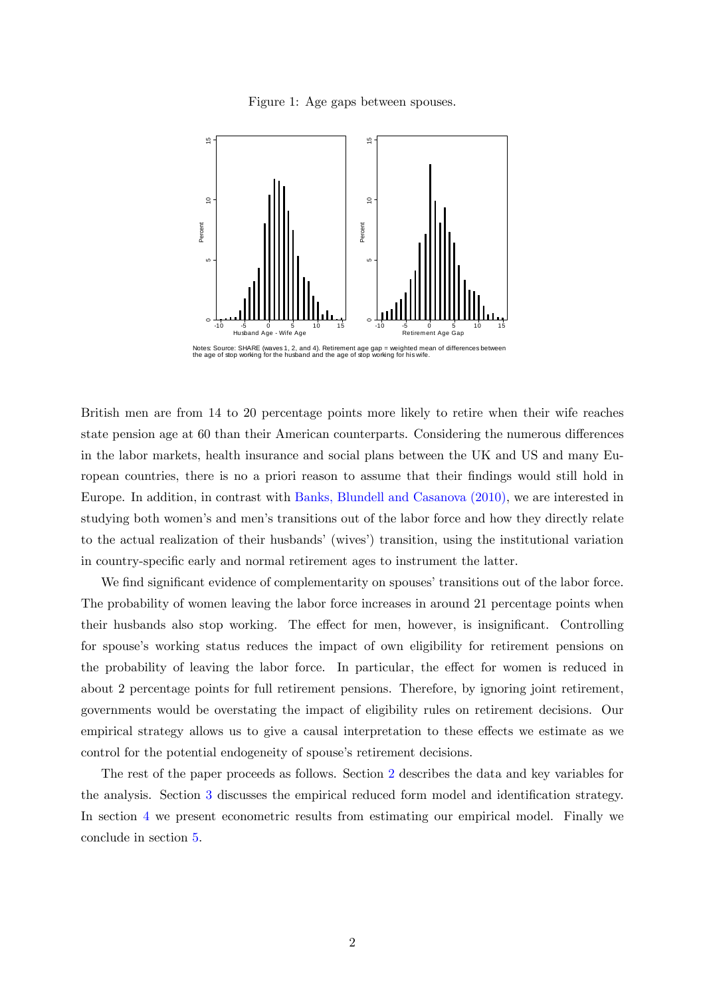<span id="page-4-0"></span>Figure 1: Age gaps between spouses.



Notes: Source: SHARE (waves 1, 2, and 4). Retirement age gap = weighted mean of differences between<br>the age of stop working for the husband and the age of stop working for his wife.

British men are from 14 to 20 percentage points more likely to retire when their wife reaches state pension age at 60 than their American counterparts. Considering the numerous differences in the labor markets, health insurance and social plans between the UK and US and many European countries, there is no a priori reason to assume that their findings would still hold in Europe. In addition, in contrast with [Banks, Blundell and](#page-15-11) [Casanova \(2010\),](#page-15-11) we are interested in studying both women's and men's transitions out of the labor force and how they directly relate to the actual realization of their husbands' (wives') transition, using the institutional variation in country-specific early and normal retirement ages to instrument the latter.

We find significant evidence of complementarity on spouses' transitions out of the labor force. The probability of women leaving the labor force increases in around 21 percentage points when their husbands also stop working. The effect for men, however, is insignificant. Controlling for spouse's working status reduces the impact of own eligibility for retirement pensions on the probability of leaving the labor force. In particular, the effect for women is reduced in about 2 percentage points for full retirement pensions. Therefore, by ignoring joint retirement, governments would be overstating the impact of eligibility rules on retirement decisions. Our empirical strategy allows us to give a causal interpretation to these effects we estimate as we control for the potential endogeneity of spouse's retirement decisions.

The rest of the paper proceeds as follows. Section [2](#page-5-0) describes the data and key variables for the analysis. Section [3](#page-8-0) discusses the empirical reduced form model and identification strategy. In section [4](#page-10-0) we present econometric results from estimating our empirical model. Finally we conclude in section [5.](#page-13-0)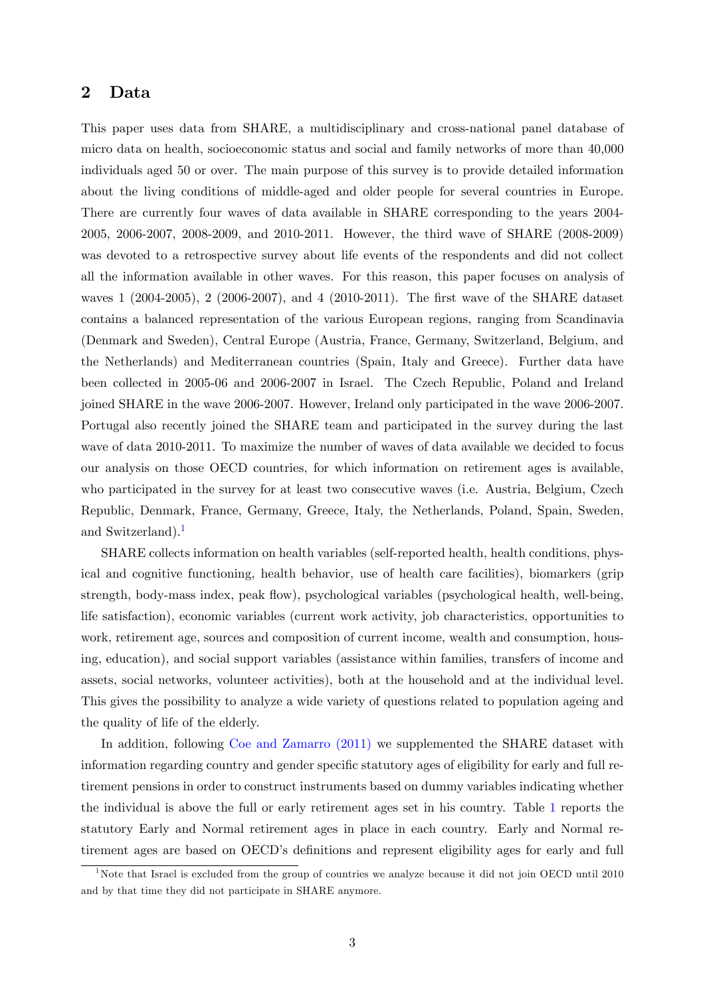### <span id="page-5-0"></span>2 Data

This paper uses data from SHARE, a multidisciplinary and cross-national panel database of micro data on health, socioeconomic status and social and family networks of more than 40,000 individuals aged 50 or over. The main purpose of this survey is to provide detailed information about the living conditions of middle-aged and older people for several countries in Europe. There are currently four waves of data available in SHARE corresponding to the years 2004- 2005, 2006-2007, 2008-2009, and 2010-2011. However, the third wave of SHARE (2008-2009) was devoted to a retrospective survey about life events of the respondents and did not collect all the information available in other waves. For this reason, this paper focuses on analysis of waves 1 (2004-2005), 2 (2006-2007), and 4 (2010-2011). The Örst wave of the SHARE dataset contains a balanced representation of the various European regions, ranging from Scandinavia (Denmark and Sweden), Central Europe (Austria, France, Germany, Switzerland, Belgium, and the Netherlands) and Mediterranean countries (Spain, Italy and Greece). Further data have been collected in 2005-06 and 2006-2007 in Israel. The Czech Republic, Poland and Ireland joined SHARE in the wave 2006-2007. However, Ireland only participated in the wave 2006-2007. Portugal also recently joined the SHARE team and participated in the survey during the last wave of data 2010-2011. To maximize the number of waves of data available we decided to focus our analysis on those OECD countries, for which information on retirement ages is available, who participated in the survey for at least two consecutive waves (i.e. Austria, Belgium, Czech Republic, Denmark, France, Germany, Greece, Italy, the Netherlands, Poland, Spain, Sweden, and Switzerland).<sup>[1](#page-5-1)</sup>

SHARE collects information on health variables (self-reported health, health conditions, physical and cognitive functioning, health behavior, use of health care facilities), biomarkers (grip strength, body-mass index, peak flow), psychological variables (psychological health, well-being, life satisfaction), economic variables (current work activity, job characteristics, opportunities to work, retirement age, sources and composition of current income, wealth and consumption, housing, education), and social support variables (assistance within families, transfers of income and assets, social networks, volunteer activities), both at the household and at the individual level. This gives the possibility to analyze a wide variety of questions related to population ageing and the quality of life of the elderly.

In addition, following [Coe and Zamarro \(2011\)](#page-15-2) we supplemented the SHARE dataset with information regarding country and gender specific statutory ages of eligibility for early and full retirement pensions in order to construct instruments based on dummy variables indicating whether the individual is above the full or early retirement ages set in his country. Table [1](#page-6-0) reports the statutory Early and Normal retirement ages in place in each country. Early and Normal retirement ages are based on OECD's definitions and represent eligibility ages for early and full

<span id="page-5-1"></span><sup>&</sup>lt;sup>1</sup>Note that Israel is excluded from the group of countries we analyze because it did not join OECD until 2010 and by that time they did not participate in SHARE anymore.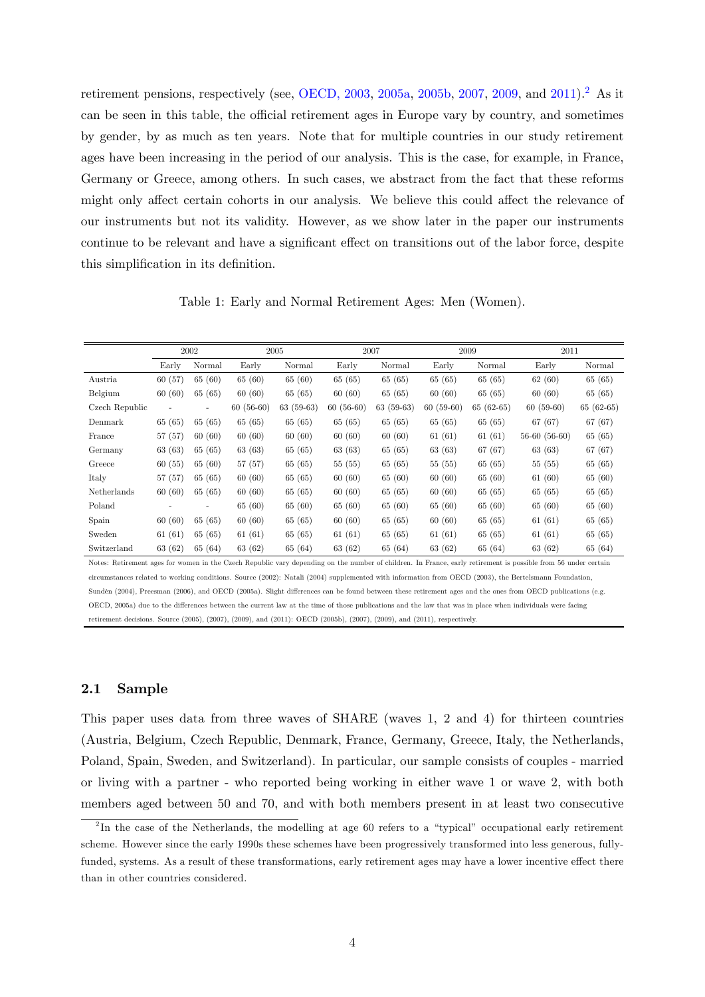retirement pensions, respectively (see, [OECD, 2003,](#page-16-5) [2005a,](#page-16-6) [2005b,](#page-16-7) [2007,](#page-16-8) [2009,](#page-16-9) and [2011\)](#page-16-10).[2](#page-6-1) As it can be seen in this table, the official retirement ages in Europe vary by country, and sometimes by gender, by as much as ten years. Note that for multiple countries in our study retirement ages have been increasing in the period of our analysis. This is the case, for example, in France, Germany or Greece, among others. In such cases, we abstract from the fact that these reforms might only affect certain cohorts in our analysis. We believe this could affect the relevance of our instruments but not its validity. However, as we show later in the paper our instruments continue to be relevant and have a significant effect on transitions out of the labor force, despite this simplification in its definition.

<span id="page-6-0"></span>Table 1: Early and Normal Retirement Ages: Men (Women).

|                | 2002    |                          | 2005        |             | 2007        |             | 2009        |             | 2011           |             |
|----------------|---------|--------------------------|-------------|-------------|-------------|-------------|-------------|-------------|----------------|-------------|
|                | Early   | Normal                   | Early       | Normal      | Early       | Normal      | Early       | Normal      | Early          | Normal      |
| Austria        | 60(57)  | 65(60)                   | 65 (60)     | 65 (60)     | 65 (65)     | 65 (65)     | 65 (65)     | 65 (65)     | 62(60)         | 65 (65)     |
| Belgium        | 60(60)  | 65 (65)                  | 60(60)      | 65 (65)     | 60(60)      | 65 (65)     | 60(60)      | 65 (65)     | 60(60)         | 65 (65)     |
| Czech Republic |         | $\overline{\phantom{0}}$ | $60(56-60)$ | $63(59-63)$ | $60(56-60)$ | $63(59-63)$ | $60(59-60)$ | $65(62-65)$ | $60(59-60)$    | $65(62-65)$ |
| Denmark        | 65 (65) | 65(65)                   | 65 (65)     | 65 (65)     | 65 (65)     | 65 (65)     | 65 (65)     | 65 (65)     | 67 (67)        | 67 (67)     |
| France         | 57(57)  | 60(60)                   | 60(60)      | 60(60)      | 60(60)      | 60(60)      | 61(61)      | 61(61)      | $56-60(56-60)$ | 65 (65)     |
| Germany        | 63(63)  | 65 (65)                  | 63(63)      | 65 (65)     | 63 (63)     | 65 (65)     | 63 (63)     | 67 (67)     | 63(63)         | 67(67)      |
| Greece         | 60(55)  | 65(60)                   | 57(57)      | 65 (65)     | 55(55)      | 65 (65)     | 55(55)      | 65(65)      | 55(55)         | 65 (65)     |
| Italy          | 57(57)  | 65(65)                   | 60(60)      | 65 (65)     | 60(60)      | 65 (60)     | 60(60)      | 65 (60)     | 61(60)         | 65 (60)     |
| Netherlands    | 60(60)  | 65(65)                   | 60(60)      | 65 (65)     | 60(60)      | 65 (65)     | 60(60)      | 65 (65)     | 65 (65)        | 65 (65)     |
| Poland         |         |                          | 65 (60)     | 65 (60)     | 65 (60)     | 65(60)      | 65 (60)     | 65 (60)     | 65 (60)        | 65 (60)     |
| Spain          | 60(60)  | 65 (65)                  | 60(60)      | 65 (65)     | 60(60)      | 65 (65)     | 60(60)      | 65 (65)     | 61(61)         | 65 (65)     |
| Sweden         | 61(61)  | 65(65)                   | 61(61)      | 65 (65)     | 61(61)      | 65 (65)     | 61(61)      | 65(65)      | 61(61)         | 65 (65)     |
| Switzerland    | 63(62)  | 65 (64)                  | 63 (62)     | 65 (64)     | 63 (62)     | 65 (64)     | 63(62)      | 65 (64)     | 63(62)         | 65 (64)     |

Notes: Retirement ages for women in the Czech Republic vary depending on the number of children. In France, early retirement is possible from 56 under certain circumstances related to working conditions. Source (2002): Natali (2004) supplemented with information from OECD (2003), the Bertelsmann Foundation, Sundén (2004), Preesman (2006), and OECD (2005a). Slight differences can be found between these retirement ages and the ones from OECD publications (e.g. OECD, 2005a) due to the differences between the current law at the time of those publications and the law that was in place when individuals were facing retirement decisions. Source (2005), (2007), (2009), and (2011): OECD (2005b), (2007), (2009), and (2011), respectively.

#### 2.1 Sample

This paper uses data from three waves of SHARE (waves 1, 2 and 4) for thirteen countries (Austria, Belgium, Czech Republic, Denmark, France, Germany, Greece, Italy, the Netherlands, Poland, Spain, Sweden, and Switzerland). In particular, our sample consists of couples - married or living with a partner - who reported being working in either wave 1 or wave 2, with both members aged between 50 and 70, and with both members present in at least two consecutive

<span id="page-6-1"></span> $^{2}$ In the case of the Netherlands, the modelling at age 60 refers to a "typical" occupational early retirement scheme. However since the early 1990s these schemes have been progressively transformed into less generous, fullyfunded, systems. As a result of these transformations, early retirement ages may have a lower incentive effect there than in other countries considered.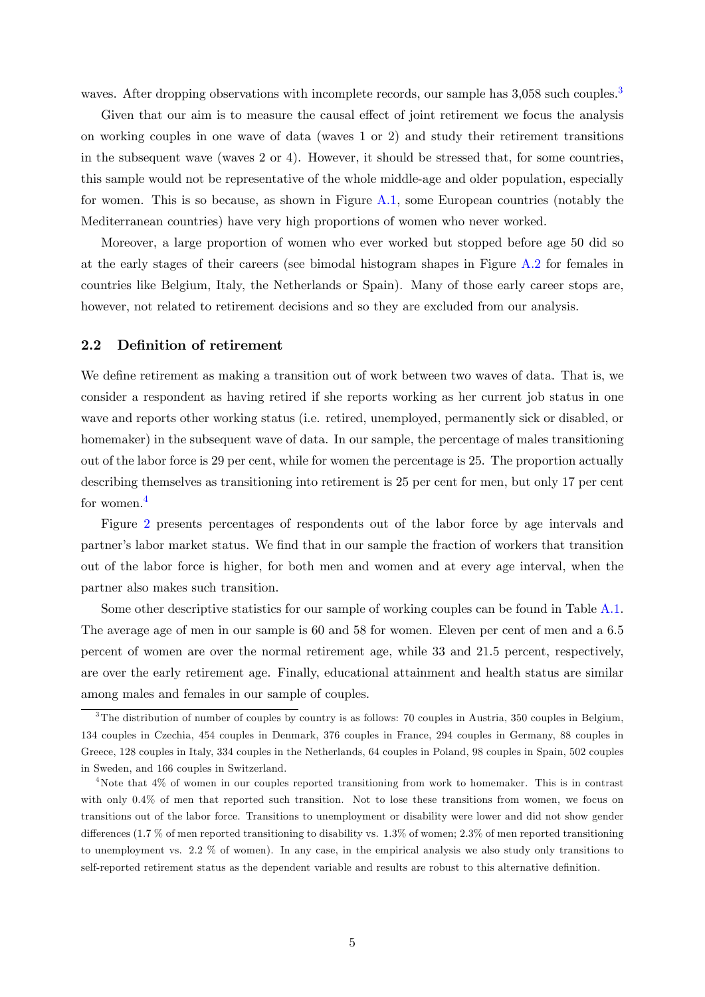waves. After dropping observations with incomplete records, our sample has [3](#page-7-0),058 such couples.<sup>3</sup>

Given that our aim is to measure the causal effect of joint retirement we focus the analysis on working couples in one wave of data (waves 1 or 2) and study their retirement transitions in the subsequent wave (waves 2 or 4). However, it should be stressed that, for some countries, this sample would not be representative of the whole middle-age and older population, especially for women. This is so because, as shown in Figure [A.1,](#page-18-0) some European countries (notably the Mediterranean countries) have very high proportions of women who never worked.

Moreover, a large proportion of women who ever worked but stopped before age 50 did so at the early stages of their careers (see bimodal histogram shapes in Figure [A.2](#page-18-1) for females in countries like Belgium, Italy, the Netherlands or Spain). Many of those early career stops are, however, not related to retirement decisions and so they are excluded from our analysis.

#### 2.2 Definition of retirement

We define retirement as making a transition out of work between two waves of data. That is, we consider a respondent as having retired if she reports working as her current job status in one wave and reports other working status (i.e. retired, unemployed, permanently sick or disabled, or homemaker) in the subsequent wave of data. In our sample, the percentage of males transitioning out of the labor force is 29 per cent, while for women the percentage is 25. The proportion actually describing themselves as transitioning into retirement is 25 per cent for men, but only 17 per cent for women.<sup>[4](#page-7-1)</sup>

Figure [2](#page-8-1) presents percentages of respondents out of the labor force by age intervals and partner's labor market status. We find that in our sample the fraction of workers that transition out of the labor force is higher, for both men and women and at every age interval, when the partner also makes such transition.

Some other descriptive statistics for our sample of working couples can be found in Table [A.1.](#page-17-0) The average age of men in our sample is 60 and 58 for women. Eleven per cent of men and a 6.5 percent of women are over the normal retirement age, while 33 and 21.5 percent, respectively, are over the early retirement age. Finally, educational attainment and health status are similar among males and females in our sample of couples.

<span id="page-7-0"></span><sup>&</sup>lt;sup>3</sup>The distribution of number of couples by country is as follows: 70 couples in Austria, 350 couples in Belgium, 134 couples in Czechia, 454 couples in Denmark, 376 couples in France, 294 couples in Germany, 88 couples in Greece, 128 couples in Italy, 334 couples in the Netherlands, 64 couples in Poland, 98 couples in Spain, 502 couples in Sweden, and 166 couples in Switzerland.

<span id="page-7-1"></span> $4$ Note that  $4\%$  of women in our couples reported transitioning from work to homemaker. This is in contrast with only 0.4% of men that reported such transition. Not to lose these transitions from women, we focus on transitions out of the labor force. Transitions to unemployment or disability were lower and did not show gender differences (1.7 % of men reported transitioning to disability vs.  $1.3\%$  of women;  $2.3\%$  of men reported transitioning to unemployment vs. 2.2 % of women). In any case, in the empirical analysis we also study only transitions to self-reported retirement status as the dependent variable and results are robust to this alternative definition.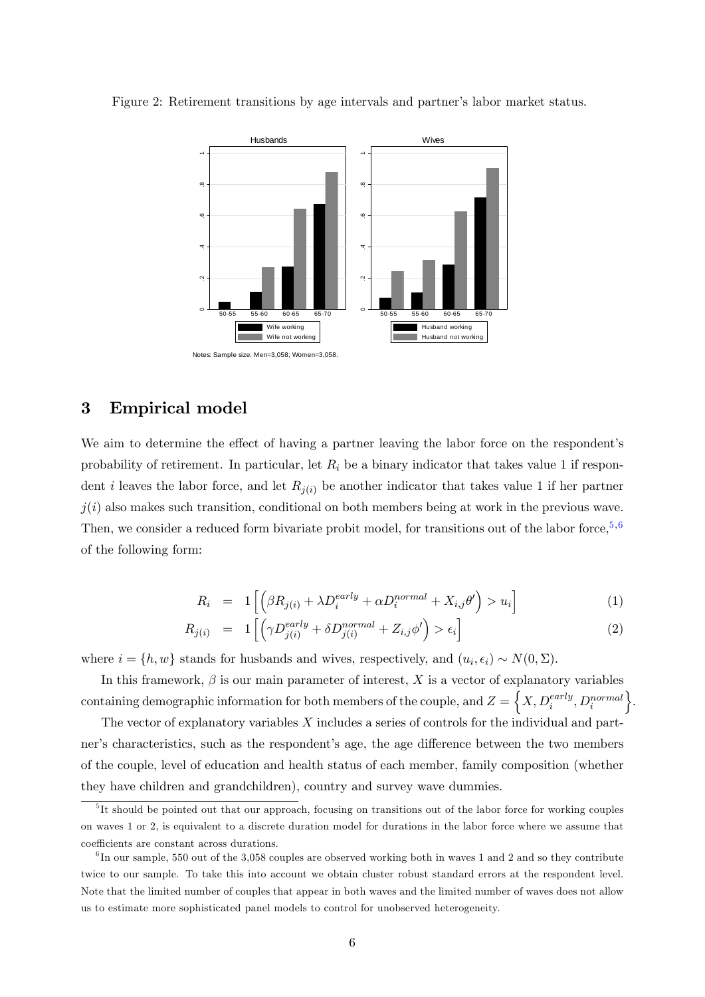<span id="page-8-1"></span>

Figure 2: Retirement transitions by age intervals and partner's labor market status.

### <span id="page-8-0"></span>3 Empirical model

We aim to determine the effect of having a partner leaving the labor force on the respondent's probability of retirement. In particular, let  $R_i$  be a binary indicator that takes value 1 if respondent i leaves the labor force, and let  $R_{i(i)}$  be another indicator that takes value 1 if her partner  $j(i)$  also makes such transition, conditional on both members being at work in the previous wave. Then, we consider a reduced form bivariate probit model, for transitions out of the labor force,  $5,6$  $5,6$  $5,6$ of the following form:

<span id="page-8-4"></span>
$$
R_i = 1\left[\left(\beta R_{j(i)} + \lambda D_i^{early} + \alpha D_i^{normal} + X_{i,j} \theta'\right) > u_i\right]
$$
 (1)

$$
R_{j(i)} = 1 \left[ \left( \gamma D_{j(i)}^{early} + \delta D_{j(i)}^{normal} + Z_{i,j} \phi' \right) > \epsilon_i \right]
$$
 (2)

where  $i = \{h, w\}$  stands for husbands and wives, respectively, and  $(u_i, \epsilon_i) \sim N(0, \Sigma)$ .

In this framework,  $\beta$  is our main parameter of interest, X is a vector of explanatory variables  $\text{containing demographic information for both members of the couple, and } Z = \left\{X, D^{early}_i, D^{normal}_i\right\}$  $\}$ .

The vector of explanatory variables X includes a series of controls for the individual and partner's characteristics, such as the respondent's age, the age difference between the two members of the couple, level of education and health status of each member, family composition (whether they have children and grandchildren), country and survey wave dummies.

<span id="page-8-2"></span><sup>&</sup>lt;sup>5</sup>It should be pointed out that our approach, focusing on transitions out of the labor force for working couples on waves 1 or 2, is equivalent to a discrete duration model for durations in the labor force where we assume that coefficients are constant across durations.

<span id="page-8-3"></span> ${}^{6}$ In our sample, 550 out of the 3,058 couples are observed working both in waves 1 and 2 and so they contribute twice to our sample. To take this into account we obtain cluster robust standard errors at the respondent level. Note that the limited number of couples that appear in both waves and the limited number of waves does not allow us to estimate more sophisticated panel models to control for unobserved heterogeneity.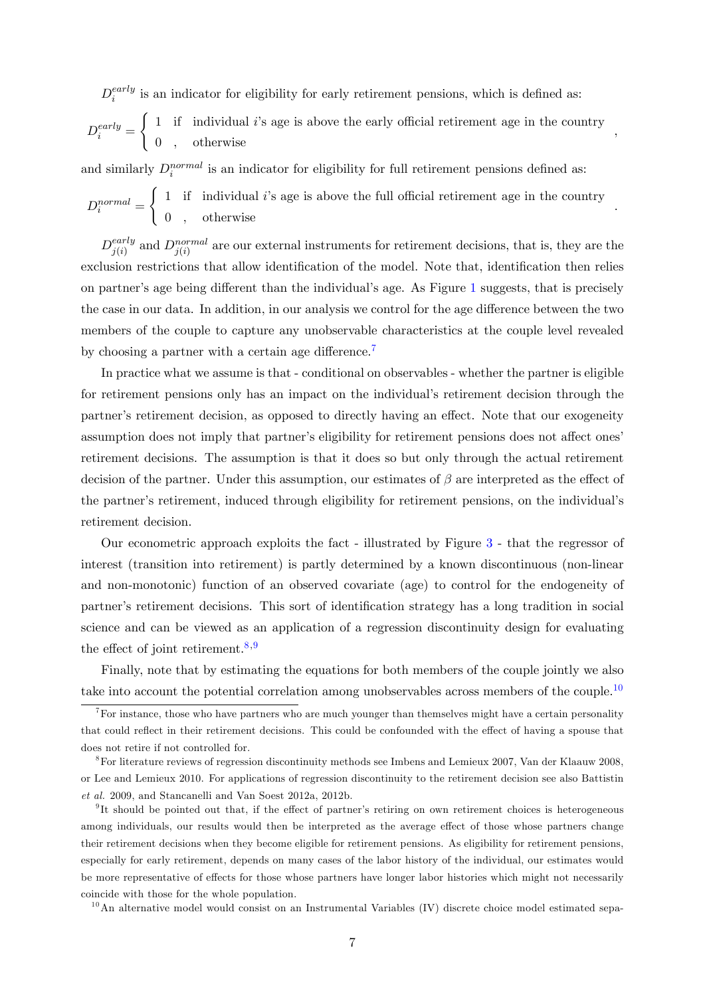$D^{early}_i$  $\sum_{i=1}^{early}$  is an indicator for eligibility for early retirement pensions, which is defined as:  $D_i^{early} =$  $\int 1$  if individual i's age is above the early official retirement age in the country 0 , otherwise

;

:

and similarly  $D_i^{normal}$  is an indicator for eligibility for full retirement pensions defined as:

 $D_i^{normal} =$  $\int 1$  if individual *i*'s age is above the full official retirement age in the country 0 , otherwise

 $D_{i(i)}^{early}$  $j(i)$  and  $D_{j(i)}^{normal}$  are our external instruments for retirement decisions, that is, they are the exclusion restrictions that allow identification of the model. Note that, identification then relies on partner's age being different than the individual's age. As Figure [1](#page-4-0) suggests, that is precisely the case in our data. In addition, in our analysis we control for the age difference between the two members of the couple to capture any unobservable characteristics at the couple level revealed by choosing a partner with a certain age difference.<sup>[7](#page-9-0)</sup>

In practice what we assume is that - conditional on observables - whether the partner is eligible for retirement pensions only has an impact on the individual's retirement decision through the partner's retirement decision, as opposed to directly having an effect. Note that our exogeneity assumption does not imply that partner's eligibility for retirement pensions does not affect ones retirement decisions. The assumption is that it does so but only through the actual retirement decision of the partner. Under this assumption, our estimates of  $\beta$  are interpreted as the effect of the partner's retirement, induced through eligibility for retirement pensions, on the individual's retirement decision.

Our econometric approach exploits the fact - illustrated by Figure [3](#page-10-1) - that the regressor of interest (transition into retirement) is partly determined by a known discontinuous (non-linear and non-monotonic) function of an observed covariate (age) to control for the endogeneity of partner's retirement decisions. This sort of identification strategy has a long tradition in social science and can be viewed as an application of a regression discontinuity design for evaluating the effect of joint retirement.<sup>[8](#page-9-1),[9](#page-9-2)</sup>

Finally, note that by estimating the equations for both members of the couple jointly we also take into account the potential correlation among unobservables across members of the couple.<sup>[10](#page-9-3)</sup>

<span id="page-9-3"></span> $10$ An alternative model would consist on an Instrumental Variables (IV) discrete choice model estimated sepa-

<span id="page-9-0"></span><sup>&</sup>lt;sup>7</sup>For instance, those who have partners who are much younger than themselves might have a certain personality that could reflect in their retirement decisions. This could be confounded with the effect of having a spouse that does not retire if not controlled for.

<span id="page-9-1"></span><sup>8</sup>For literature reviews of regression discontinuity methods see Imbens and Lemieux 2007, Van der Klaauw 2008, or Lee and Lemieux 2010. For applications of regression discontinuity to the retirement decision see also Battistin et al. 2009, and Stancanelli and Van Soest 2012a, 2012b.

<span id="page-9-2"></span> $9$ It should be pointed out that, if the effect of partner's retiring on own retirement choices is heterogeneous among individuals, our results would then be interpreted as the average effect of those whose partners change their retirement decisions when they become eligible for retirement pensions. As eligibility for retirement pensions, especially for early retirement, depends on many cases of the labor history of the individual, our estimates would be more representative of effects for those whose partners have longer labor histories which might not necessarily coincide with those for the whole population.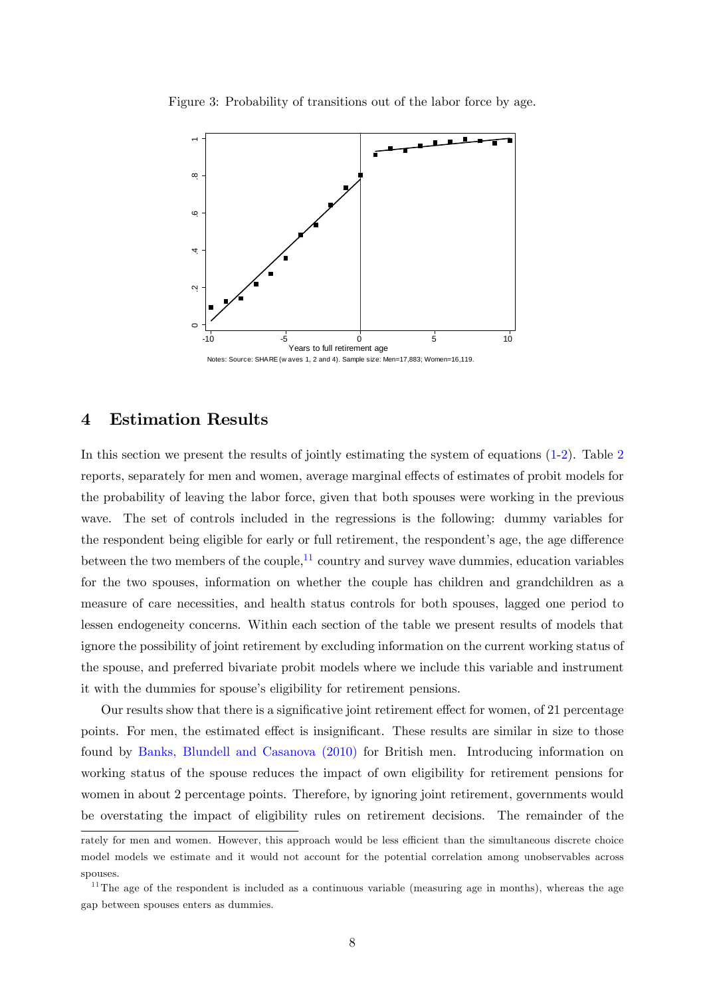

<span id="page-10-1"></span>Figure 3: Probability of transitions out of the labor force by age.

#### <span id="page-10-0"></span>4 Estimation Results

In this section we present the results of jointly estimating the system of equations [\(1-2\)](#page-8-4). Table [2](#page-11-0) reports, separately for men and women, average marginal effects of estimates of probit models for the probability of leaving the labor force, given that both spouses were working in the previous wave. The set of controls included in the regressions is the following: dummy variables for the respondent being eligible for early or full retirement, the respondent's age, the age difference between the two members of the couple, $^{11}$  $^{11}$  $^{11}$  country and survey wave dummies, education variables for the two spouses, information on whether the couple has children and grandchildren as a measure of care necessities, and health status controls for both spouses, lagged one period to lessen endogeneity concerns. Within each section of the table we present results of models that ignore the possibility of joint retirement by excluding information on the current working status of the spouse, and preferred bivariate probit models where we include this variable and instrument it with the dummies for spouse's eligibility for retirement pensions.

Our results show that there is a significative joint retirement effect for women, of 21 percentage points. For men, the estimated effect is insignificant. These results are similar in size to those found by [Banks, Blundell and](#page-15-11) [Casanova \(2010\)](#page-15-11) for British men. Introducing information on working status of the spouse reduces the impact of own eligibility for retirement pensions for women in about 2 percentage points. Therefore, by ignoring joint retirement, governments would be overstating the impact of eligibility rules on retirement decisions. The remainder of the

rately for men and women. However, this approach would be less efficient than the simultaneous discrete choice model models we estimate and it would not account for the potential correlation among unobservables across spouses.

<span id="page-10-2"></span> $11$ The age of the respondent is included as a continuous variable (measuring age in months), whereas the age gap between spouses enters as dummies.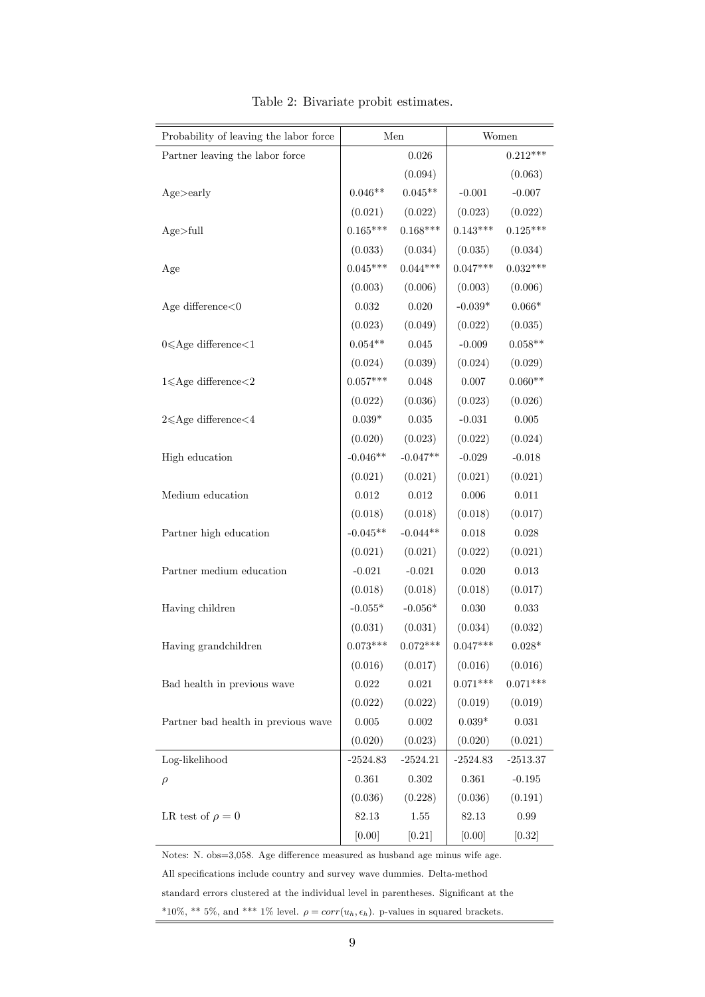| Probability of leaving the labor force |                 | Men         |            | Women       |
|----------------------------------------|-----------------|-------------|------------|-------------|
| Partner leaving the labor force        |                 | 0.026       |            | $0.212***$  |
|                                        |                 | (0.094)     |            | (0.063)     |
| Age>early                              | $0.046**$       | $0.045**$   | $-0.001$   | $-0.007$    |
|                                        | (0.021)         | (0.022)     | (0.023)    | (0.022)     |
| Age>full                               | $0.165***$      | $0.168***$  | $0.143***$ | $0.125***$  |
|                                        | (0.033)         | (0.034)     | (0.035)    | (0.034)     |
| Age                                    | $0.045***$      | $0.044***$  | $0.047***$ | $0.032***$  |
|                                        | (0.003)         | (0.006)     | (0.003)    | (0.006)     |
| Age difference $<$ 0                   | 0.032           | 0.020       | $-0.039*$  | $0.066*$    |
|                                        | (0.023)         | (0.049)     | (0.022)    | (0.035)     |
| $0 \leqslant$ Age difference $<$ 1     | $0.054**$       | $\,0.045\,$ | $-0.009$   | $0.058**$   |
|                                        | (0.024)         | (0.039)     | (0.024)    | (0.029)     |
| $1 \leqslant$ Age difference $<$ 2     | $0.057***$      | 0.048       | 0.007      | $0.060**$   |
|                                        | (0.022)         | (0.036)     | (0.023)    | (0.026)     |
| $2 \leqslant$ Age difference $<$ 4     | $0.039*$        | $\,0.035\,$ | $-0.031$   | $0.005\,$   |
|                                        | (0.020)         | (0.023)     | (0.022)    | (0.024)     |
| High education                         | $-0.046**$      | $-0.047**$  | $-0.029$   | $-0.018$    |
|                                        | (0.021)         | (0.021)     | (0.021)    | (0.021)     |
| Medium education                       | 0.012           | 0.012       | 0.006      | 0.011       |
|                                        | (0.018)         | (0.018)     | (0.018)    | (0.017)     |
| Partner high education                 | $-0.045**$      | $-0.044**$  | 0.018      | 0.028       |
|                                        | (0.021)         | (0.021)     | (0.022)    | (0.021)     |
| Partner medium education               | $-0.021$        | $-0.021$    | 0.020      | 0.013       |
|                                        | (0.018)         | (0.018)     | (0.018)    | (0.017)     |
| Having children                        | $-0.055^{\ast}$ | $-0.056*$   | 0.030      | 0.033       |
|                                        | (0.031)         | (0.031)     | (0.034)    | (0.032)     |
| Having grandchildren                   | $0.073***$      | $0.072***$  | $0.047***$ | $0.028*$    |
|                                        | (0.016)         | (0.017)     | (0.016)    | (0.016)     |
| Bad health in previous wave            | $\,0.022\,$     | $\,0.021\,$ | $0.071***$ | $0.071***$  |
|                                        | (0.022)         | (0.022)     | (0.019)    | (0.019)     |
| Partner bad health in previous wave    | 0.005           | $0.002\,$   | $0.039*$   | $\,0.031\,$ |
|                                        | (0.020)         | (0.023)     | (0.020)    | (0.021)     |
| Log-likelihood                         | $-2524.83$      | $-2524.21$  | $-2524.83$ | $-2513.37$  |
| $\rho$                                 | 0.361           | $0.302\,$   | $0.361\,$  | $-0.195$    |
|                                        | (0.036)         | (0.228)     | (0.036)    | (0.191)     |
| LR test of $\rho = 0$                  | 82.13           | 1.55        | 82.13      | 0.99        |
|                                        | [0.00]          | $[0.21]$    | [0.00]     | [0.32]      |

<span id="page-11-0"></span>Table 2: Bivariate probit estimates.

Notes: N. obs=3,058. Age difference measured as husband age minus wife age. All specifications include country and survey wave dummies. Delta-method standard errors clustered at the individual level in parentheses. Significant at the \*10%, \*\* 5%, and \*\*\* 1% level.  $\rho = corr(u_h, \epsilon_h)$ . p-values in squared brackets.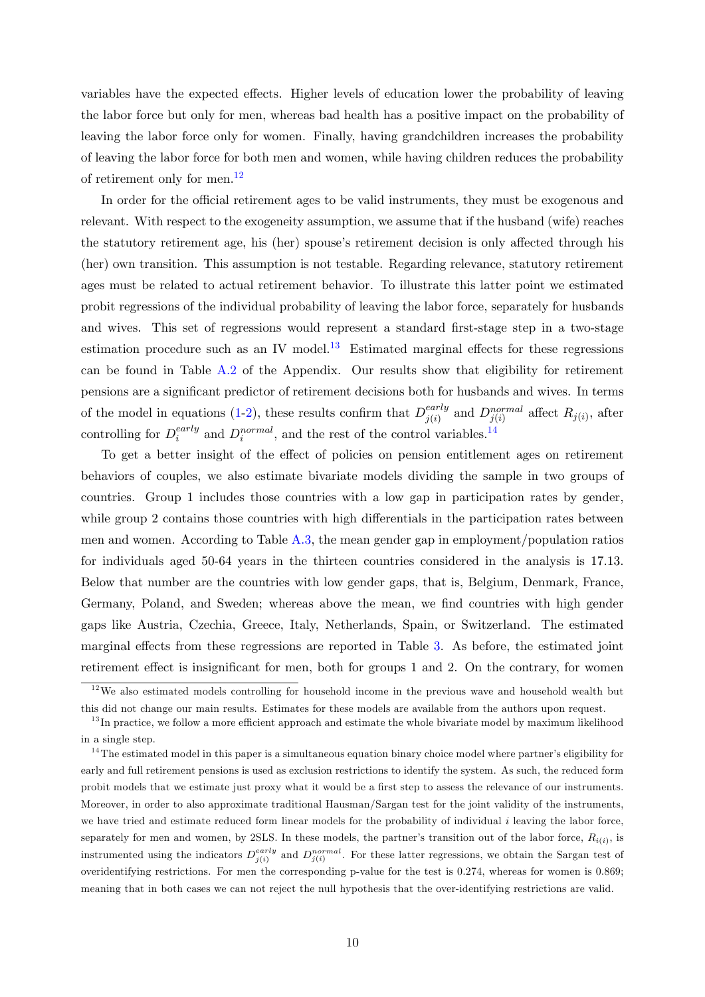variables have the expected effects. Higher levels of education lower the probability of leaving the labor force but only for men, whereas bad health has a positive impact on the probability of leaving the labor force only for women. Finally, having grandchildren increases the probability of leaving the labor force for both men and women, while having children reduces the probability of retirement only for men.<sup>[12](#page-12-0)</sup>

In order for the official retirement ages to be valid instruments, they must be exogenous and relevant. With respect to the exogeneity assumption, we assume that if the husband (wife) reaches the statutory retirement age, his (her) spouse's retirement decision is only affected through his (her) own transition. This assumption is not testable. Regarding relevance, statutory retirement ages must be related to actual retirement behavior. To illustrate this latter point we estimated probit regressions of the individual probability of leaving the labor force, separately for husbands and wives. This set of regressions would represent a standard first-stage step in a two-stage estimation procedure such as an IV model.<sup>[13](#page-12-1)</sup> Estimated marginal effects for these regressions can be found in Table [A.2](#page-19-0) of the Appendix. Our results show that eligibility for retirement pensions are a signiÖcant predictor of retirement decisions both for husbands and wives. In terms of the model in equations [\(1-2\)](#page-8-4), these results confirm that  $D_{i(i)}^{early}$  $_{j(i)}^{early}$  and  $D_{j(i)}^{normal}$  affect  $R_{j(i)}$ , after controlling for  $D_i^{early}$  $e^{early}$  and  $D_i^{normal}$ , and the rest of the control variables.<sup>[14](#page-12-2)</sup>

To get a better insight of the effect of policies on pension entitlement ages on retirement behaviors of couples, we also estimate bivariate models dividing the sample in two groups of countries. Group 1 includes those countries with a low gap in participation rates by gender, while group 2 contains those countries with high differentials in the participation rates between men and women. According to Table [A.3,](#page-20-0) the mean gender gap in employment/population ratios for individuals aged 50-64 years in the thirteen countries considered in the analysis is 17.13. Below that number are the countries with low gender gaps, that is, Belgium, Denmark, France, Germany, Poland, and Sweden; whereas above the mean, we find countries with high gender gaps like Austria, Czechia, Greece, Italy, Netherlands, Spain, or Switzerland. The estimated marginal effects from these regressions are reported in Table [3.](#page-14-0) As before, the estimated joint retirement effect is insignificant for men, both for groups 1 and 2. On the contrary, for women

<span id="page-12-0"></span> $12$ We also estimated models controlling for household income in the previous wave and household wealth but this did not change our main results. Estimates for these models are available from the authors upon request.

<span id="page-12-1"></span> $13$  In practice, we follow a more efficient approach and estimate the whole bivariate model by maximum likelihood in a single step.

<span id="page-12-2"></span> $14$ The estimated model in this paper is a simultaneous equation binary choice model where partner's eligibility for early and full retirement pensions is used as exclusion restrictions to identify the system. As such, the reduced form probit models that we estimate just proxy what it would be a first step to assess the relevance of our instruments. Moreover, in order to also approximate traditional Hausman/Sargan test for the joint validity of the instruments, we have tried and estimate reduced form linear models for the probability of individual i leaving the labor force, separately for men and women, by 2SLS. In these models, the partner's transition out of the labor force,  $R_{i(i)}$ , is instrumented using the indicators  $D_{j(i)}^{early}$  and  $D_{j(i)}^{normal}$ . For these latter regressions, we obtain the Sargan test of overidentifying restrictions. For men the corresponding p-value for the test is 0.274, whereas for women is 0.869; meaning that in both cases we can not reject the null hypothesis that the over-identifying restrictions are valid.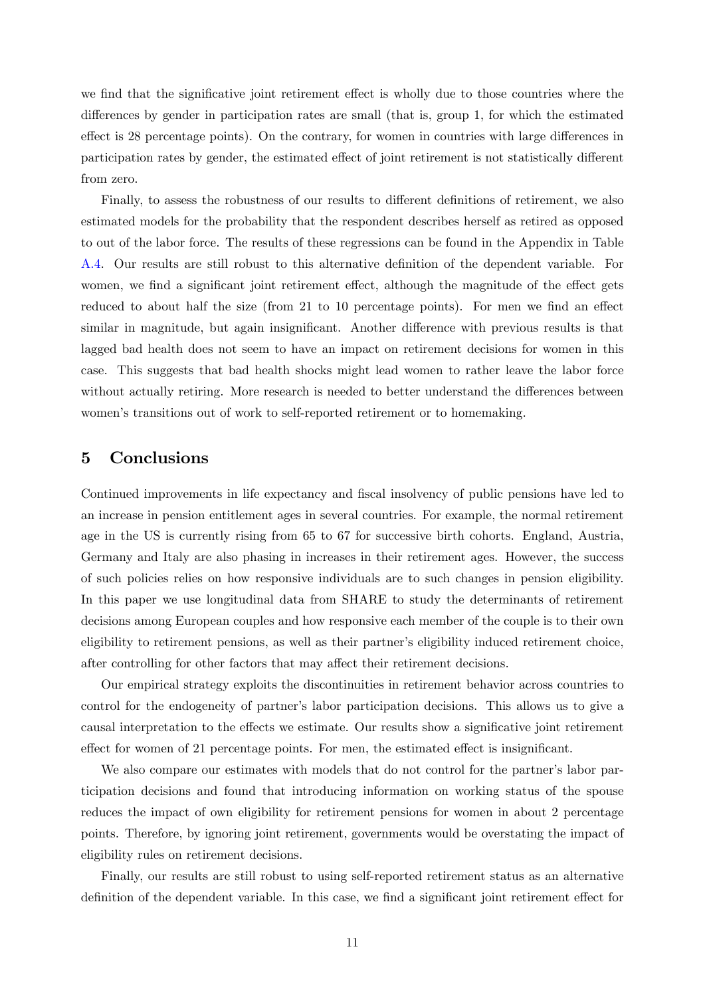we find that the significative joint retirement effect is wholly due to those countries where the differences by gender in participation rates are small (that is, group  $1$ , for which the estimated effect is 28 percentage points). On the contrary, for women in countries with large differences in participation rates by gender, the estimated effect of joint retirement is not statistically different from zero.

Finally, to assess the robustness of our results to different definitions of retirement, we also estimated models for the probability that the respondent describes herself as retired as opposed to out of the labor force. The results of these regressions can be found in the Appendix in Table [A.4.](#page-21-0) Our results are still robust to this alternative definition of the dependent variable. For women, we find a significant joint retirement effect, although the magnitude of the effect gets reduced to about half the size (from  $21$  to  $10$  percentage points). For men we find an effect similar in magnitude, but again insignificant. Another difference with previous results is that lagged bad health does not seem to have an impact on retirement decisions for women in this case. This suggests that bad health shocks might lead women to rather leave the labor force without actually retiring. More research is needed to better understand the differences between women's transitions out of work to self-reported retirement or to homemaking.

#### <span id="page-13-0"></span>5 Conclusions

Continued improvements in life expectancy and fiscal insolvency of public pensions have led to an increase in pension entitlement ages in several countries. For example, the normal retirement age in the US is currently rising from 65 to 67 for successive birth cohorts. England, Austria, Germany and Italy are also phasing in increases in their retirement ages. However, the success of such policies relies on how responsive individuals are to such changes in pension eligibility. In this paper we use longitudinal data from SHARE to study the determinants of retirement decisions among European couples and how responsive each member of the couple is to their own eligibility to retirement pensions, as well as their partner's eligibility induced retirement choice, after controlling for other factors that may affect their retirement decisions.

Our empirical strategy exploits the discontinuities in retirement behavior across countries to control for the endogeneity of partner's labor participation decisions. This allows us to give a causal interpretation to the effects we estimate. Our results show a significative joint retirement effect for women of 21 percentage points. For men, the estimated effect is insignificant.

We also compare our estimates with models that do not control for the partner's labor participation decisions and found that introducing information on working status of the spouse reduces the impact of own eligibility for retirement pensions for women in about 2 percentage points. Therefore, by ignoring joint retirement, governments would be overstating the impact of eligibility rules on retirement decisions.

Finally, our results are still robust to using self-reported retirement status as an alternative definition of the dependent variable. In this case, we find a significant joint retirement effect for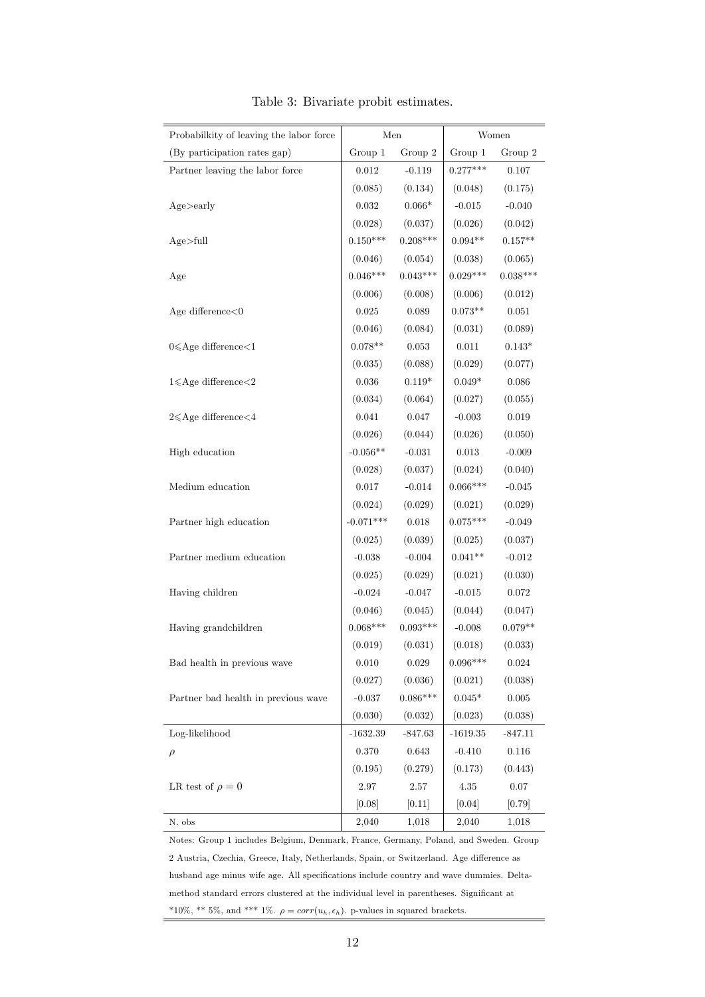| Probabilkity of leaving the labor force  | Men         |             | Women          |             |
|------------------------------------------|-------------|-------------|----------------|-------------|
| (By participation rates gap)             | Group 1     | Group 2     | Group 1        | Group 2     |
| Partner leaving the labor force          | 0.012       | $-0.119$    | $0.277***$     | 0.107       |
|                                          | (0.085)     | (0.134)     | (0.048)        | (0.175)     |
| Age > early                              | 0.032       | $0.066*$    | $-0.015$       | $-0.040$    |
|                                          | (0.028)     | (0.037)     | (0.026)        | (0.042)     |
| Age>full                                 | $0.150***$  | $0.208***$  | $0.094**$      | $0.157**$   |
|                                          | (0.046)     | (0.054)     | (0.038)        | (0.065)     |
| Age                                      | $0.046***$  | $0.043***$  | $0.029***$     | $0.038***$  |
|                                          | (0.006)     | (0.008)     | (0.006)        | (0.012)     |
| Age difference $<$ 0                     | 0.025       | 0.089       | $0.073**$      | $0.051\,$   |
|                                          | (0.046)     | (0.084)     | (0.031)        | (0.089)     |
| $0 \leqslant$ Age difference $<$ 1       | $0.078**$   | $\,0.053\,$ | $0.011\,$      | $0.143*$    |
|                                          | (0.035)     | (0.088)     | (0.029)        | (0.077)     |
| $1 \leqslant$ Age difference $<$ 2       | 0.036       | $0.119*$    | $0.049*$       | 0.086       |
|                                          | (0.034)     | (0.064)     | (0.027)        | (0.055)     |
| $2{\leqslant} \text{Age difference}{<}4$ | 0.041       | $0.047\,$   | $-0.003$       | $\,0.019\,$ |
|                                          | (0.026)     | (0.044)     | (0.026)        | (0.050)     |
| High education                           | $-0.056**$  | $-0.031$    | $\rm 0.013$    | $-0.009$    |
|                                          | (0.028)     | (0.037)     | (0.024)        | (0.040)     |
| Medium education                         | $0.017\,$   | $-0.014$    | $0.066***$     | $-0.045$    |
|                                          | (0.024)     | (0.029)     | (0.021)        | (0.029)     |
| Partner high education                   | $-0.071***$ | $0.018\,$   | $0.075***$     | $-0.049$    |
|                                          | (0.025)     | (0.039)     | (0.025)        | (0.037)     |
| Partner medium education                 | $-0.038$    | $-0.004$    | $0.041**$      | $-0.012$    |
|                                          | (0.025)     | (0.029)     | (0.021)        | (0.030)     |
| Having children                          | $-0.024$    | $-0.047$    | $-0.015$       | 0.072       |
|                                          | (0.046)     | (0.045)     | (0.044)        | (0.047)     |
| Having grandchildren                     | $0.068***$  | $0.093***$  | $-0.008$       | $0.079**$   |
|                                          | (0.019)     | (0.031)     | (0.018)        | (0.033)     |
| Bad health in previous wave              | $0.010\,$   | $\,0.029\,$ | $0.096***$     | 0.024       |
|                                          | (0.027)     | (0.036)     | (0.021)        | (0.038)     |
| Partner bad health in previous wave      | $-0.037$    | $0.086***$  | $0.045^{\ast}$ | $0.005\,$   |
|                                          | (0.030)     | (0.032)     | (0.023)        | (0.038)     |
| Log-likelihood                           | $-1632.39$  | $-847.63$   | $-1619.35$     | $-847.11$   |
| $\rho$                                   | 0.370       | 0.643       | $-0.410$       | 0.116       |
|                                          | (0.195)     | (0.279)     | (0.173)        | (0.443)     |
| LR test of $\rho = 0$                    | 2.97        | 2.57        | 4.35           | $0.07\,$    |
|                                          | [0.08]      | $[0.11]$    | [0.04]         | [0.79]      |
| N. obs                                   | 2,040       | 1,018       | 2,040          | 1,018       |

<span id="page-14-0"></span>Table 3: Bivariate probit estimates.

Notes: Group 1 includes Belgium, Denmark, France, Germany, Poland, and Sweden. Group  $2$ Austria, Czechia, Greece, Italy, Netherlands, Spain, or Switzerland. Age difference as  $\,$ husband age minus wife age. All specifications include country and wave dummies. Deltamethod standard errors clustered at the individual level in parentheses. Significant at \*10%, \*\* 5%, and \*\*\* 1%.  $\rho = corr(u_h, \epsilon_h)$ . p-values in squared brackets.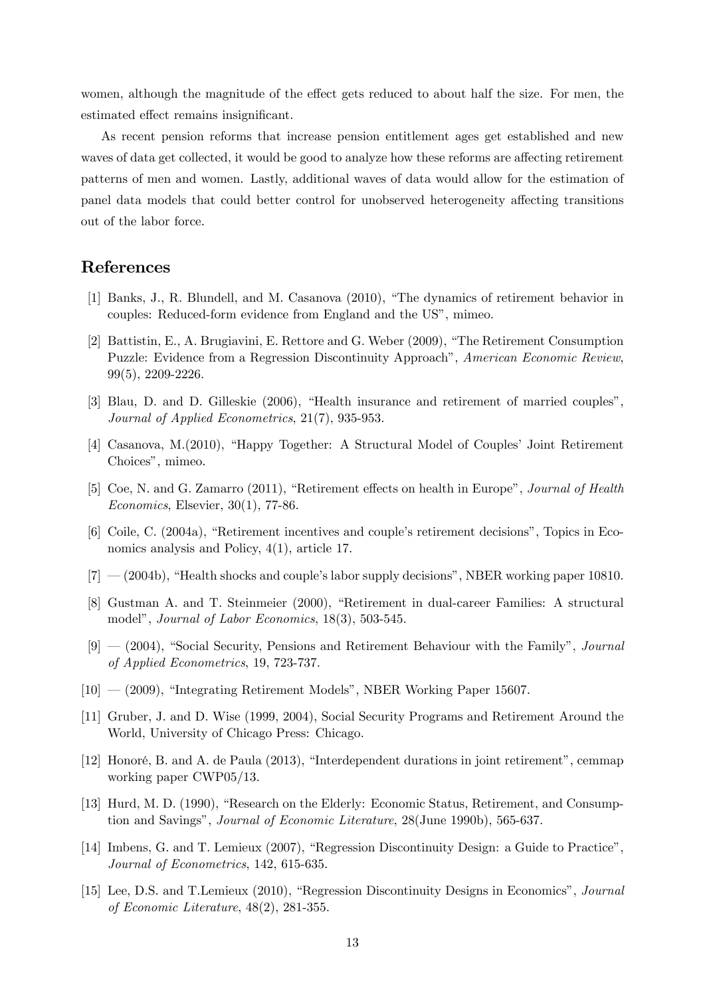women, although the magnitude of the effect gets reduced to about half the size. For men, the estimated effect remains insignificant.

As recent pension reforms that increase pension entitlement ages get established and new waves of data get collected, it would be good to analyze how these reforms are affecting retirement patterns of men and women. Lastly, additional waves of data would allow for the estimation of panel data models that could better control for unobserved heterogeneity affecting transitions out of the labor force.

### References

- <span id="page-15-11"></span>[1] Banks, J., R. Blundell, and M. Casanova (2010), "The dynamics of retirement behavior in couples: Reduced-form evidence from England and the US", mimeo.
- [2] Battistin, E., A. Brugiavini, E. Rettore and G. Weber (2009), "The Retirement Consumption Puzzle: Evidence from a Regression Discontinuity Approach", American Economic Review, 99(5), 2209-2226.
- <span id="page-15-6"></span>[3] Blau, D. and D. Gilleskie  $(2006)$ , "Health insurance and retirement of married couples", Journal of Applied Econometrics, 21(7), 935-953.
- <span id="page-15-9"></span>[4] Casanova, M.(2010), "Happy Together: A Structural Model of Couples' Joint Retirement Choices", mimeo.
- <span id="page-15-2"></span>[5] Coe, N. and G. Zamarro (2011), "Retirement effects on health in Europe", *Journal of Health* Economics, Elsevier, 30(1), 77-86.
- <span id="page-15-7"></span> $[6]$  Coile, C. (2004a), "Retirement incentives and couple's retirement decisions", Topics in Economics analysis and Policy, 4(1), article 17.
- <span id="page-15-8"></span> $[7]$   $-$  (2004b), "Health shocks and couple's labor supply decisions", NBER working paper 10810.
- <span id="page-15-3"></span>[8] Gustman A. and T. Steinmeier (2000), "Retirement in dual-career Families: A structural model", Journal of Labor Economics, 18(3), 503-545.
- <span id="page-15-4"></span> $[9]$  –  $(2004)$ , "Social Security, Pensions and Retirement Behaviour with the Family", *Journal* of Applied Econometrics, 19, 723-737.
- <span id="page-15-5"></span> $[10] - (2009)$ , "Integrating Retirement Models", NBER Working Paper 15607.
- <span id="page-15-1"></span>[11] Gruber, J. and D. Wise (1999, 2004), Social Security Programs and Retirement Around the World, University of Chicago Press: Chicago.
- <span id="page-15-10"></span>[12] Honoré, B. and A. de Paula  $(2013)$ , "Interdependent durations in joint retirement", cemmap working paper CWP05/13.
- <span id="page-15-0"></span>[13] Hurd, M. D. (1990), "Research on the Elderly: Economic Status, Retirement, and Consumption and Savings", Journal of Economic Literature, 28(June 1990b), 565-637.
- [14] Imbens, G. and T. Lemieux (2007), "Regression Discontinuity Design: a Guide to Practice", Journal of Econometrics, 142, 615-635.
- [15] Lee, D.S. and T.Lemieux (2010), "Regression Discontinuity Designs in Economics", Journal of Economic Literature, 48(2), 281-355.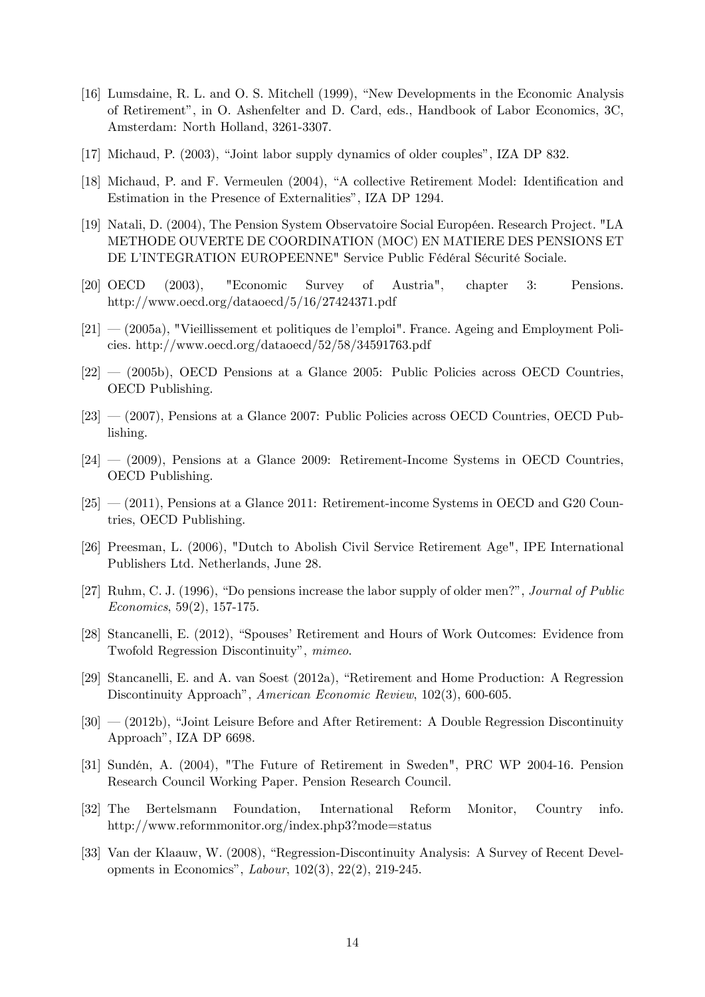- <span id="page-16-0"></span>[16] Lumsdaine, R. L. and O. S. Mitchell (1999), "New Developments in the Economic Analysis of Retirement", in O. Ashenfelter and D. Card, eds., Handbook of Labor Economics, 3C, Amsterdam: North Holland, 3261-3307.
- $[17]$  Michaud, P.  $(2003)$ , "Joint labor supply dynamics of older couples", IZA DP 832.
- <span id="page-16-2"></span>[18] Michaud, P. and F. Vermeulen (2004), "A collective Retirement Model: Identification and Estimation in the Presence of Externalities", IZA DP 1294.
- [19] Natali, D. (2004), The Pension System Observatoire Social Européen. Research Project. "LA METHODE OUVERTE DE COORDINATION (MOC) EN MATIERE DES PENSIONS ET DE L'INTEGRATION EUROPEENNE" Service Public Fédéral Sécurité Sociale.
- <span id="page-16-5"></span>[20] OECD (2003), "Economic Survey of Austria", chapter 3: Pensions. http://www.oecd.org/dataoecd/5/16/27424371.pdf
- <span id="page-16-6"></span> $[21]$  – (2005a), "Vieillissement et politiques de l'emploi". France. Ageing and Employment Policies. http://www.oecd.org/dataoecd/52/58/34591763.pdf
- <span id="page-16-7"></span> $[22] - (2005b)$ , OECD Pensions at a Glance 2005: Public Policies across OECD Countries, OECD Publishing.
- <span id="page-16-8"></span> $[23]$   $-$  (2007), Pensions at a Glance 2007: Public Policies across OECD Countries, OECD Publishing.
- <span id="page-16-9"></span> $[24] - (2009)$ , Pensions at a Glance 2009: Retirement-Income Systems in OECD Countries, OECD Publishing.
- <span id="page-16-10"></span> $[25]$   $-$  (2011), Pensions at a Glance 2011: Retirement-income Systems in OECD and G20 Countries, OECD Publishing.
- [26] Preesman, L. (2006), "Dutch to Abolish Civil Service Retirement Age", IPE International Publishers Ltd. Netherlands, June 28.
- <span id="page-16-1"></span>[27] Ruhm, C. J. (1996), "Do pensions increase the labor supply of older men?", *Journal of Public* Economics, 59(2), 157-175.
- [28] Stancanelli, E. (2012), "Spouses' Retirement and Hours of Work Outcomes: Evidence from Twofold Regression Discontinuity", mimeo.
- <span id="page-16-3"></span>[29] Stancanelli, E. and A. van Soest (2012a), "Retirement and Home Production: A Regression Discontinuity Approach", American Economic Review, 102(3), 600-605.
- <span id="page-16-4"></span> $[30]$   $-$  (2012b), "Joint Leisure Before and After Retirement: A Double Regression Discontinuity Approach", IZA DP 6698.
- [31] Sundén, A. (2004), "The Future of Retirement in Sweden", PRC WP 2004-16. Pension Research Council Working Paper. Pension Research Council.
- [32] The Bertelsmann Foundation, International Reform Monitor, Country info. http://www.reformmonitor.org/index.php3?mode=status
- [33] Van der Klaauw, W. (2008), "Regression-Discontinuity Analysis: A Survey of Recent Developments in Economics", *Labour*, 102(3), 22(2), 219-245.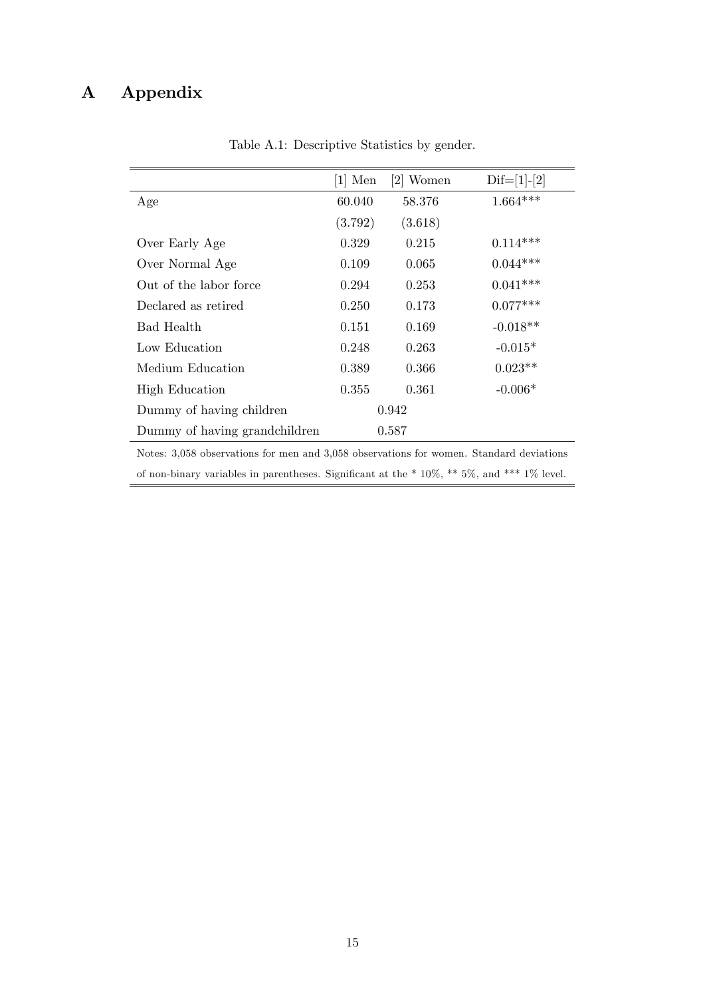## A Appendix

|                                                                                         | $[1]$ Men | $[2]$ Women | $\text{Dif}=[1]-[2]$ |  |  |
|-----------------------------------------------------------------------------------------|-----------|-------------|----------------------|--|--|
| Age                                                                                     | 60.040    | 58.376      | $1.664***$           |  |  |
|                                                                                         | (3.792)   | (3.618)     |                      |  |  |
| Over Early Age                                                                          | 0.329     | 0.215       | $0.114***$           |  |  |
| Over Normal Age                                                                         | 0.109     | 0.065       | $0.044***$           |  |  |
| Out of the labor force                                                                  | 0.294     | 0.253       | $0.041***$           |  |  |
| Declared as retired                                                                     | 0.250     | 0.173       | $0.077***$           |  |  |
| Bad Health                                                                              | 0.151     | 0.169       | $-0.018**$           |  |  |
| Low Education                                                                           | 0.248     | 0.263       | $-0.015*$            |  |  |
| Medium Education                                                                        | 0.389     | 0.366       | $0.023**$            |  |  |
| <b>High Education</b>                                                                   | 0.355     | 0.361       | $-0.006*$            |  |  |
| Dummy of having children                                                                | 0.942     |             |                      |  |  |
| Dummy of having grandchildren                                                           |           | 0.587       |                      |  |  |
| Notes: 3,058 observations for men and 3,058 observations for women. Standard deviations |           |             |                      |  |  |

<span id="page-17-0"></span>Table A.1: Descriptive Statistics by gender.

of non-binary variables in parentheses. Significant at the  $*$  10%,  $**$  5%, and  $***$  1% level.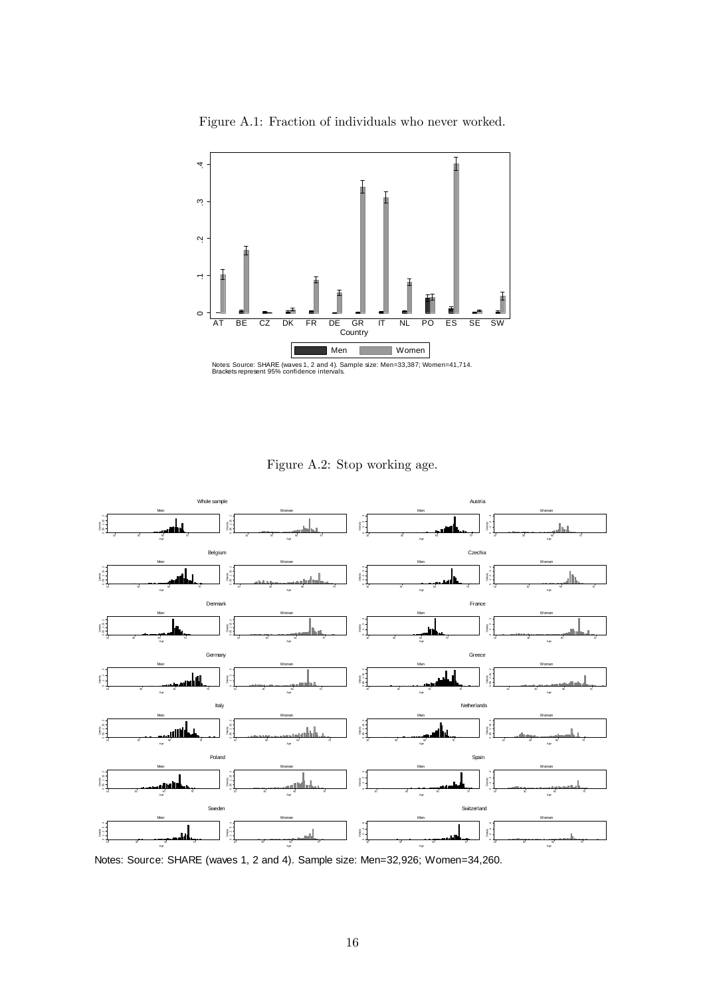

<span id="page-18-0"></span>Figure A.1: Fraction of individuals who never worked.

<span id="page-18-1"></span>Figure A.2: Stop working age.



Notes: Source: SHARE (waves 1, 2 and 4). Sample size: Men=32,926; W omen=34,260.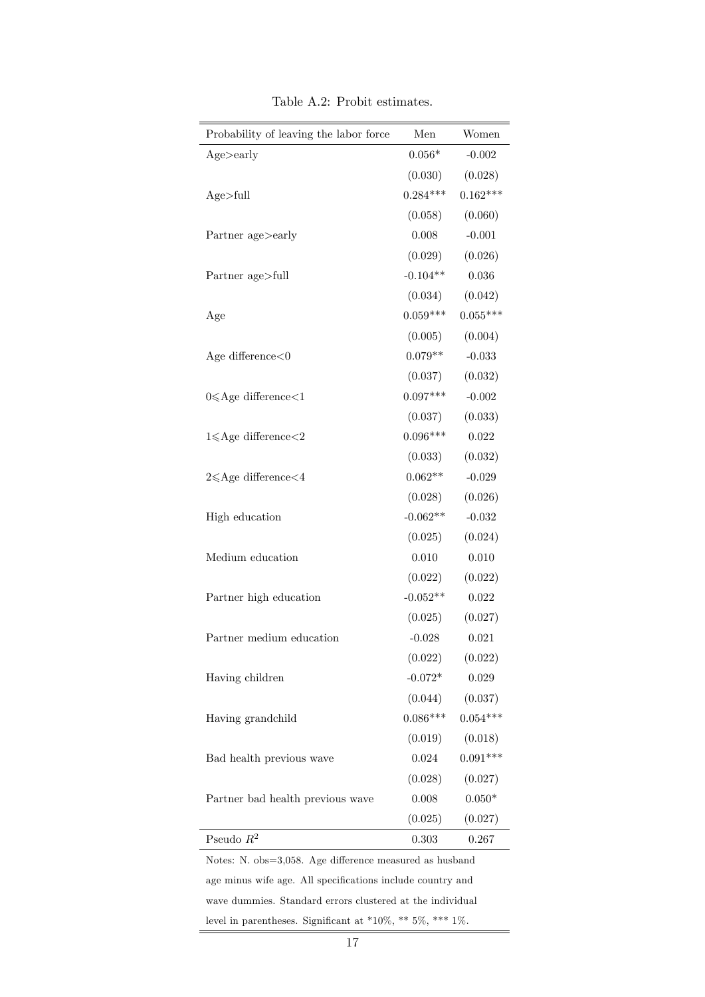| Probability of leaving the labor force | Men        | Women      |
|----------------------------------------|------------|------------|
| Age > early                            | $0.056*$   | $-0.002$   |
|                                        | (0.030)    | (0.028)    |
| Age>full                               | $0.284***$ | $0.162***$ |
|                                        | (0.058)    | (0.060)    |
| Partner age>early                      | 0.008      | $-0.001$   |
|                                        | (0.029)    | (0.026)    |
| Partner age>full                       | $-0.104**$ | 0.036      |
|                                        | (0.034)    | (0.042)    |
| Age                                    | $0.059***$ | $0.055***$ |
|                                        | (0.005)    | (0.004)    |
| Age difference $<$ 0                   | $0.079**$  | $-0.033$   |
|                                        | (0.037)    | (0.032)    |
| $0 \leqslant$ Age difference $<$ 1     | $0.097***$ | $-0.002$   |
|                                        | (0.037)    | (0.033)    |
| $1 \leqslant$ Age difference $<$ 2     | $0.096***$ | 0.022      |
|                                        | (0.033)    | (0.032)    |
| $2 \leqslant$ Age difference $<$ 4     | $0.062**$  | $-0.029$   |
|                                        | (0.028)    | (0.026)    |
| High education                         | $-0.062**$ | $-0.032$   |
|                                        | (0.025)    | (0.024)    |
| Medium education                       | 0.010      | 0.010      |
|                                        | (0.022)    | (0.022)    |
| Partner high education                 | $-0.052**$ | 0.022      |
|                                        | (0.025)    | (0.027)    |
| Partner medium education               | $-0.028$   | 0.021      |
|                                        | (0.022)    | (0.022)    |
| Having children                        | $-0.072*$  | 0.029      |
|                                        | (0.044)    | (0.037)    |
| Having grandchild                      | $0.086***$ | $0.054***$ |
|                                        | (0.019)    | (0.018)    |
| Bad health previous wave               | 0.024      | $0.091***$ |
|                                        | (0.028)    | (0.027)    |
| Partner bad health previous wave       | 0.008      | $0.050*$   |
|                                        | (0.025)    | (0.027)    |
| Pseudo $R^2$                           | 0.303      | 0.267      |

<span id="page-19-0"></span>Table A.2: Probit estimates.

age minus wife age. All specifications include country and wave dummies. Standard errors clustered at the individual level in parentheses. Significant at \*10%, \*\* 5%, \*\*\* 1%.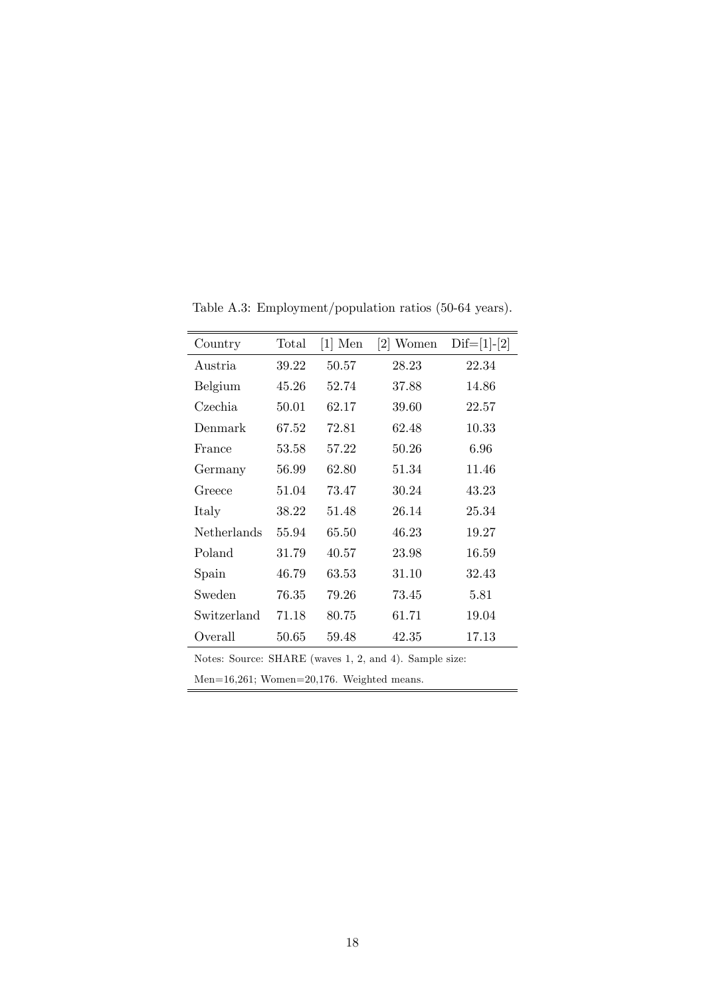| Country            | Total | $[1]$ Men | $[2]$ Women | $\text{Dif}=[1]-[2]$ |
|--------------------|-------|-----------|-------------|----------------------|
| Austria            | 39.22 | 50.57     | 28.23       | 22.34                |
| Belgium            | 45.26 | 52.74     | 37.88       | 14.86                |
| Czechia            | 50.01 | 62.17     | 39.60       | 22.57                |
| Denmark            | 67.52 | 72.81     | 62.48       | 10.33                |
| France             | 53.58 | 57.22     | 50.26       | 6.96                 |
| Germany            | 56.99 | 62.80     | 51.34       | 11.46                |
| Greece             | 51.04 | 73.47     | 30.24       | 43.23                |
| Italy              | 38.22 | 51.48     | 26.14       | 25.34                |
| <b>Netherlands</b> | 55.94 | 65.50     | 46.23       | 19.27                |
| Poland             | 31.79 | 40.57     | 23.98       | 16.59                |
| Spain              | 46.79 | 63.53     | 31.10       | 32.43                |
| Sweden             | 76.35 | 79.26     | 73.45       | 5.81                 |
| Switzerland        | 71.18 | 80.75     | 61.71       | 19.04                |
| Overall            | 50.65 | 59.48     | 42.35       | 17.13                |

<span id="page-20-0"></span>Table A.3: Employment/population ratios (50-64 years).

Notes: Source: SHARE (waves 1, 2, and 4). Sample size:

Men=16,261; Women=20,176. Weighted means.